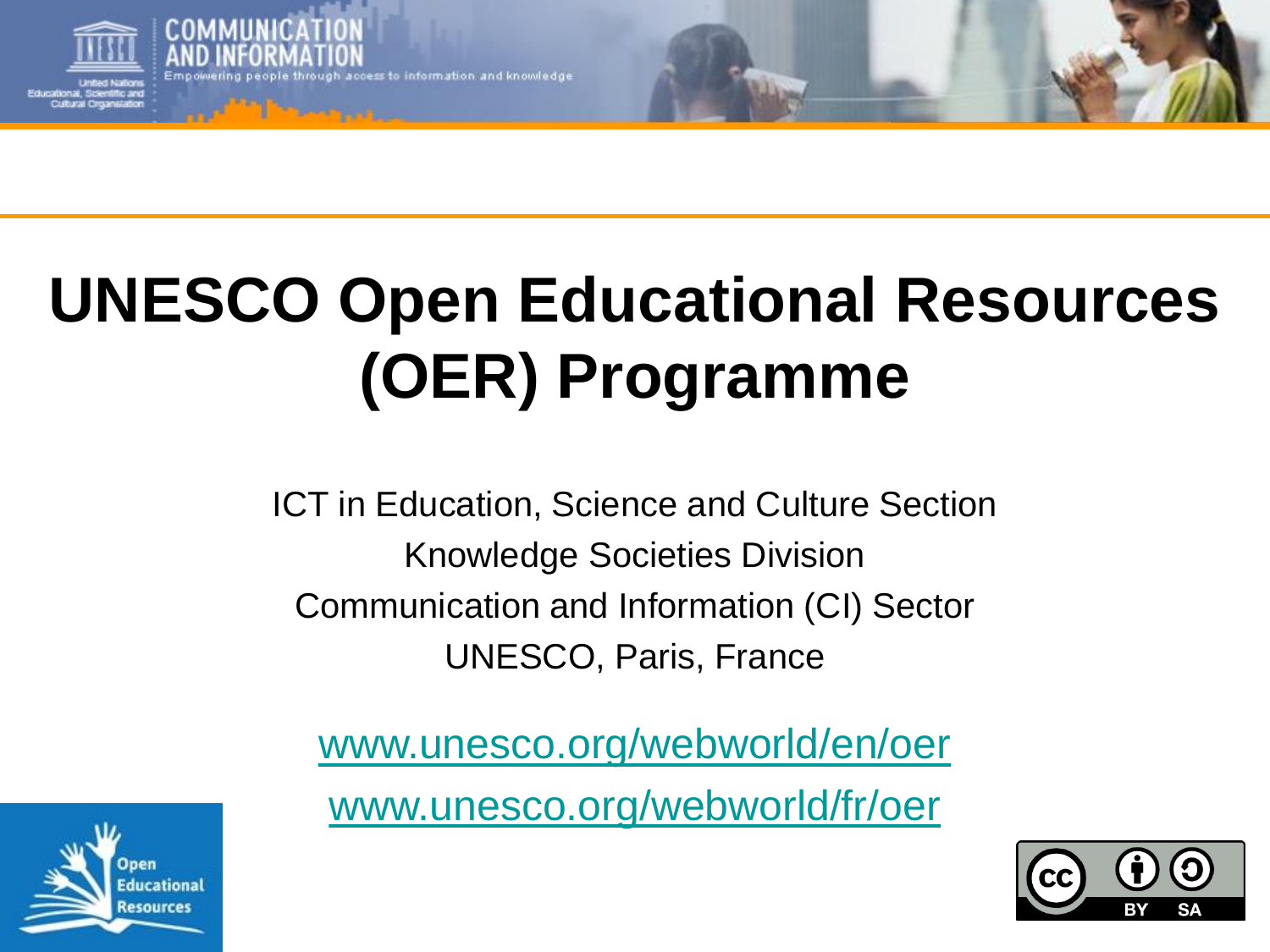

e through access to information and knowledge

# **UNESCO Open Educational Resources (OER) Programme**

ICT in Education, Science and Culture Section Knowledge Societies Division Communication and Information (CI) Sector UNESCO, Paris, France

[www.unesco.org/webworld/en/oer](http://www.unesco.org/webworld/en/oer) [www.unesco.org/webworld/fr/oer](http://www.unesco.org/webworld/fr/oer)



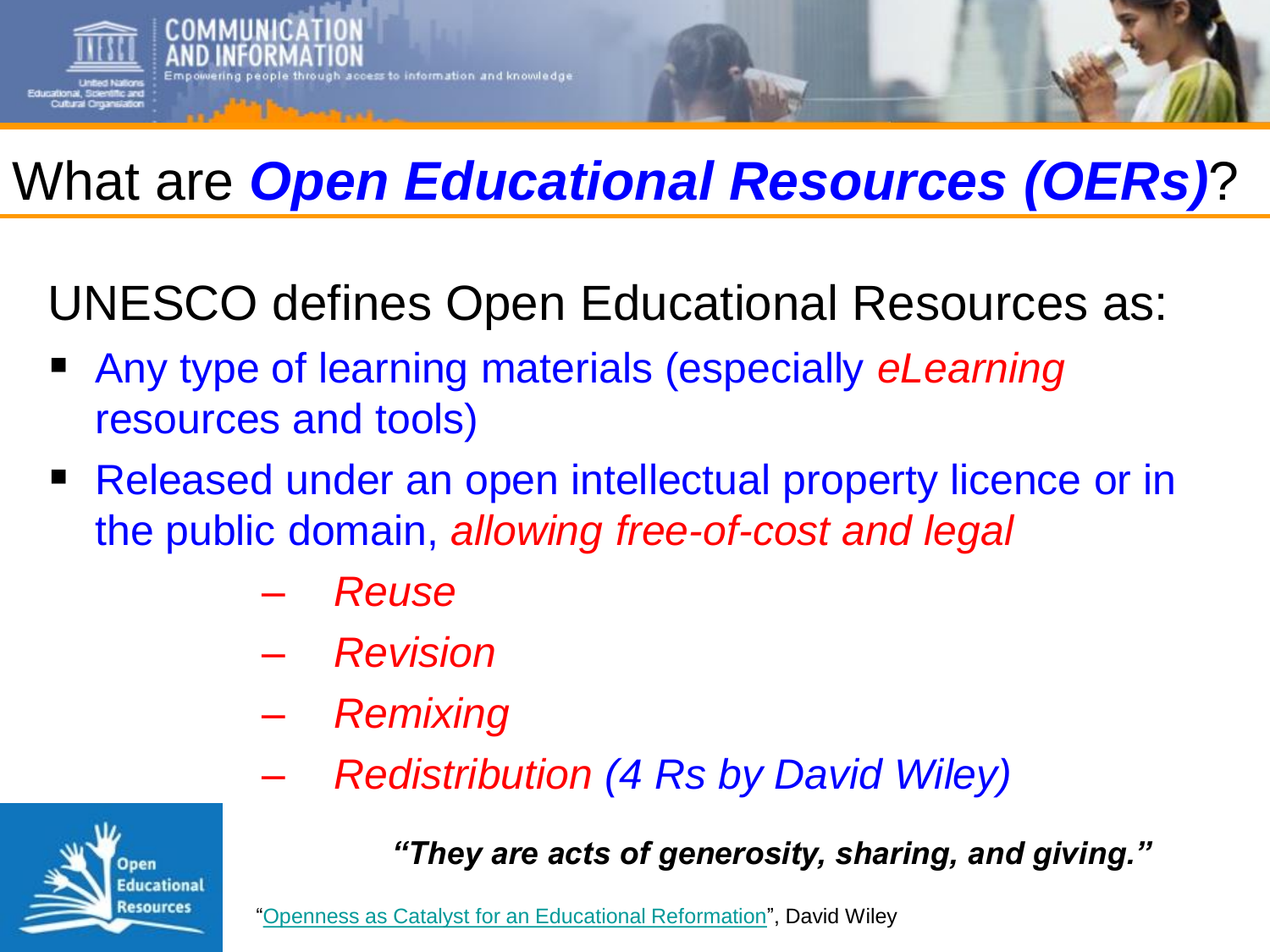

# What are *Open Educational Resources (OERs)*?

UNESCO defines Open Educational Resources as:

- Any type of learning materials (especially *eLearning* resources and tools)
- Released under an open intellectual property licence or in the public domain, *allowing free-of-cost and legal* 
	- *Reuse*
	- *Revision*
	- *Remixing*
		- *Redistribution (4 Rs by David Wiley)*



*"They are acts of generosity, sharing, and giving."*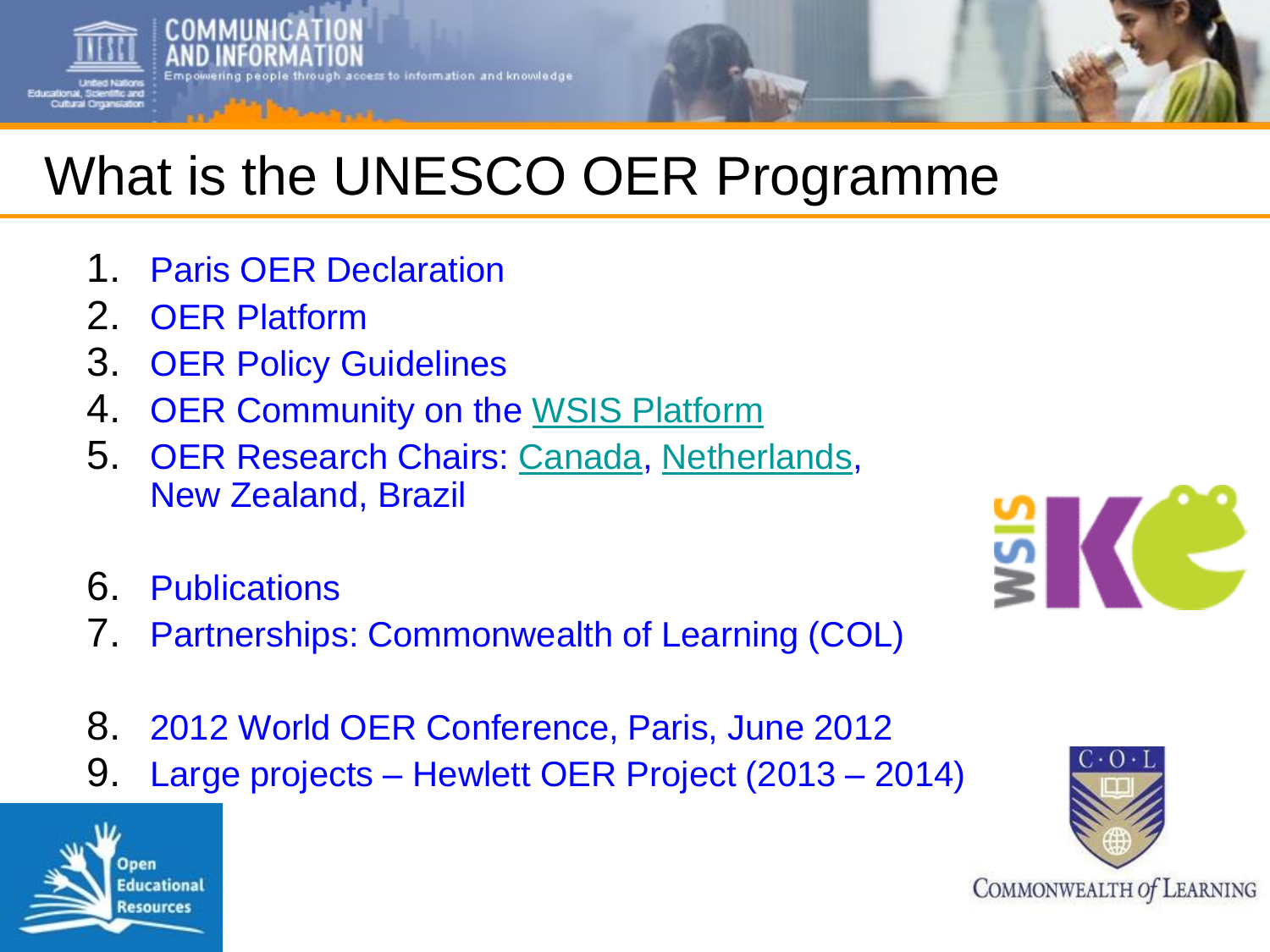

# What is the UNESCO OER Programme

- 1. Paris OER Declaration
- 2. OER Platform
- 3. OER Policy Guidelines
- 4 OER Community on the [WSIS Platform](http://www.wsis-community.org/)
- 5. OER Research Chairs: [Canada](https://unescochair.athabascau.ca/), [Netherlands,](http://oer.unescochair-ou.nl/) New Zealand, Brazil



- 6. Publications
- 7. Partnerships: Commonwealth of Learning (COL)
- 8. 2012 World OER Conference, Paris, June 2012
- 9. Large projects Hewlett OER Project (2013 2014)



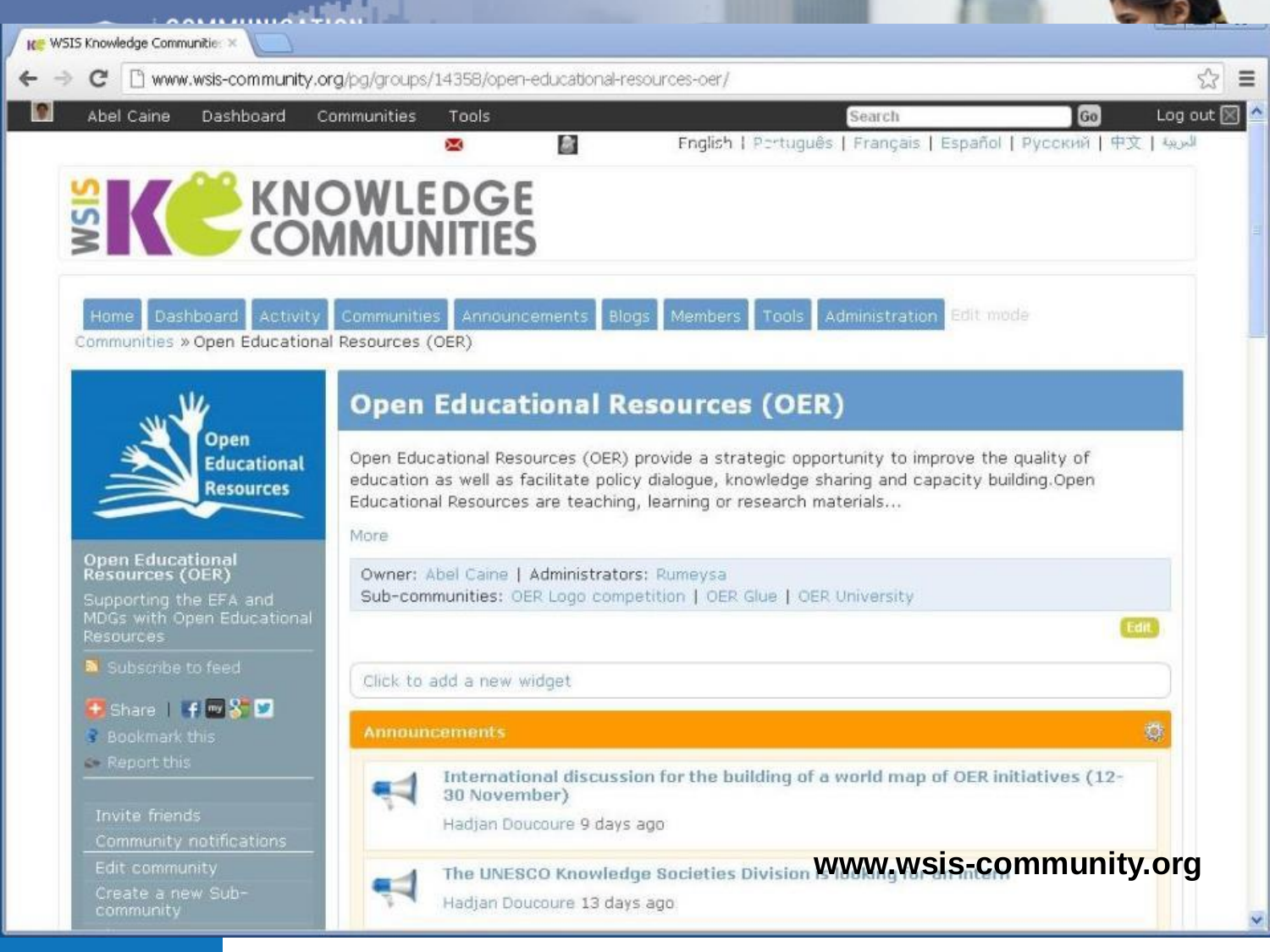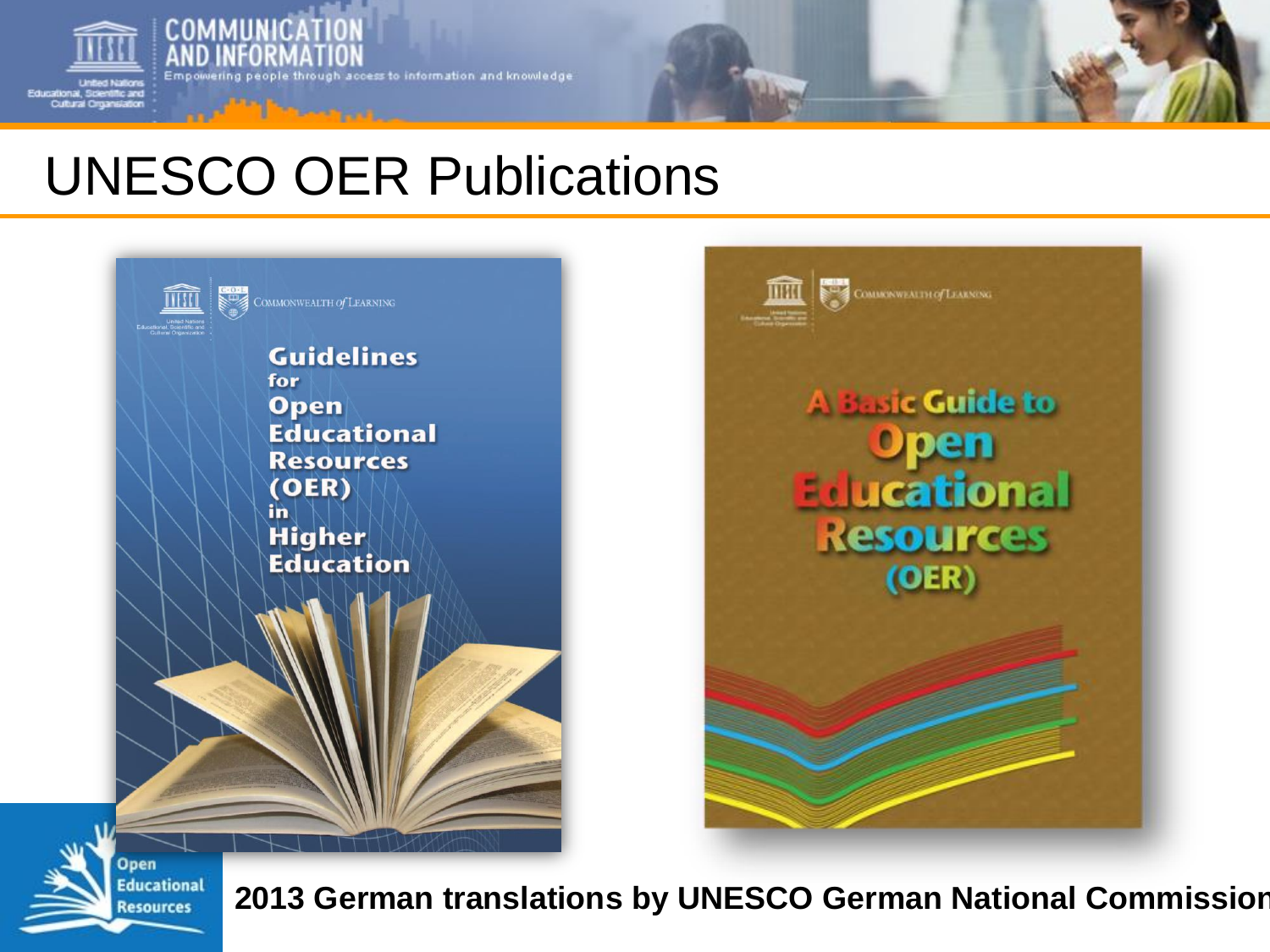

**COMMUNICAT** 

ing people through access to information and knowledge

# UNESCO OER Publications





**Open Educational Resources** 

**2013 German translations by UNESCO German National Commission**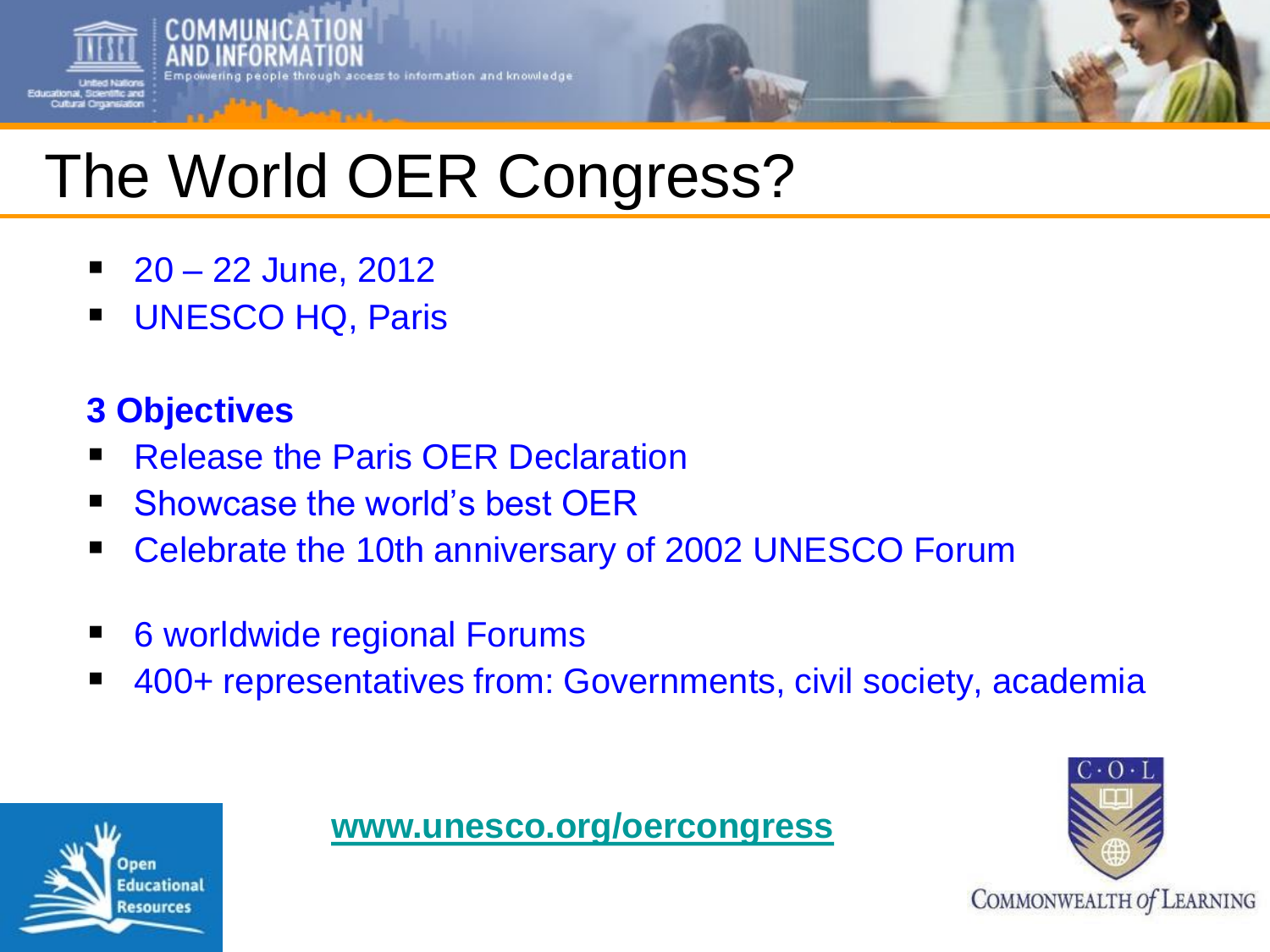

# The World OER Congress?

- $\blacksquare$  20 22 June, 2012
- **UNESCO HQ, Paris**

## **3 Objectives**

- Release the Paris OER Declaration
- **Showcase the world's best OER**
- Celebrate the 10th anniversary of 2002 UNESCO Forum
- 6 worldwide regional Forums
- 400+ representatives from: Governments, civil society, academia



### **[www.unesco.org/oercongress](http://www.unesco.org/oercongress)**

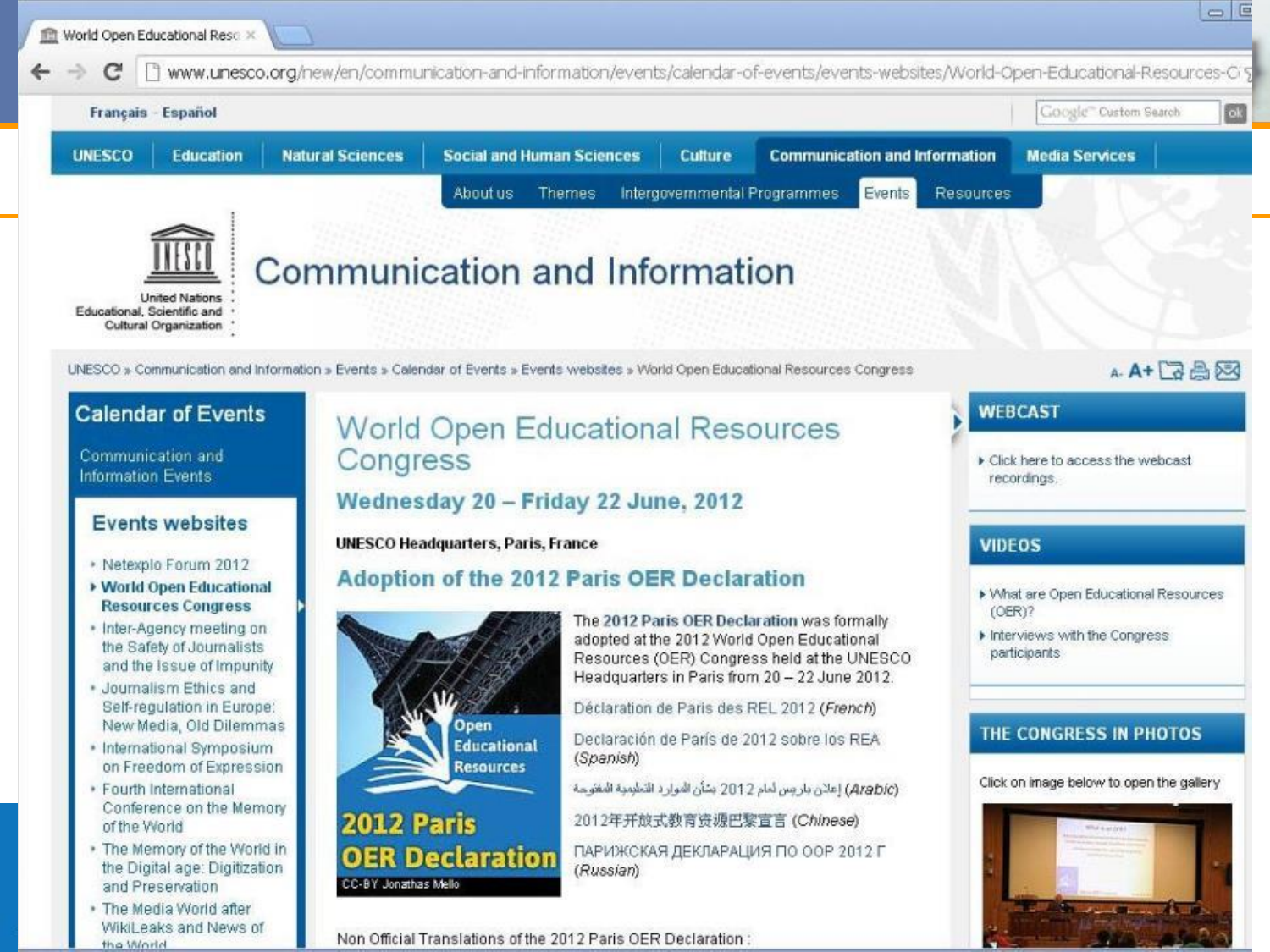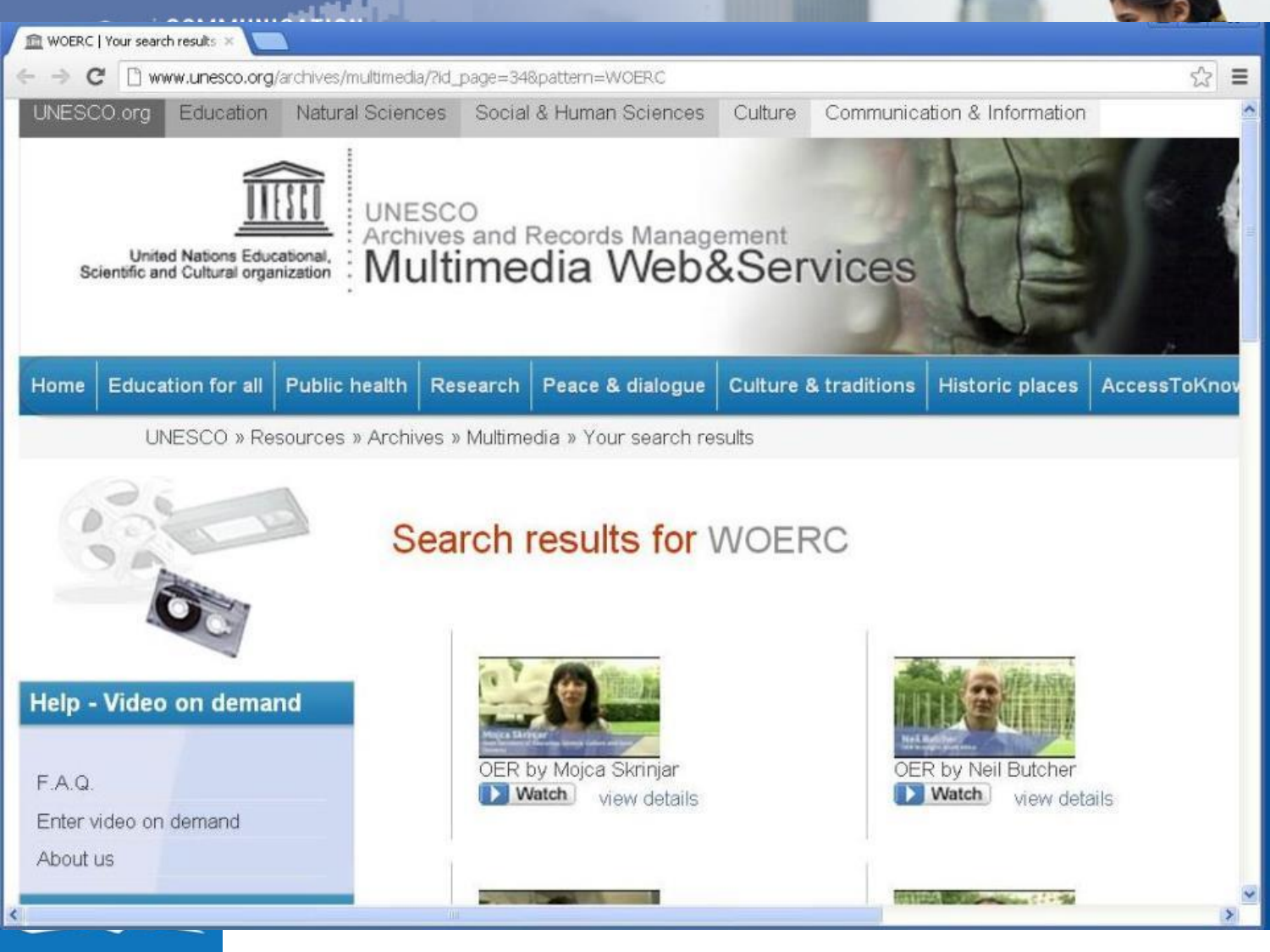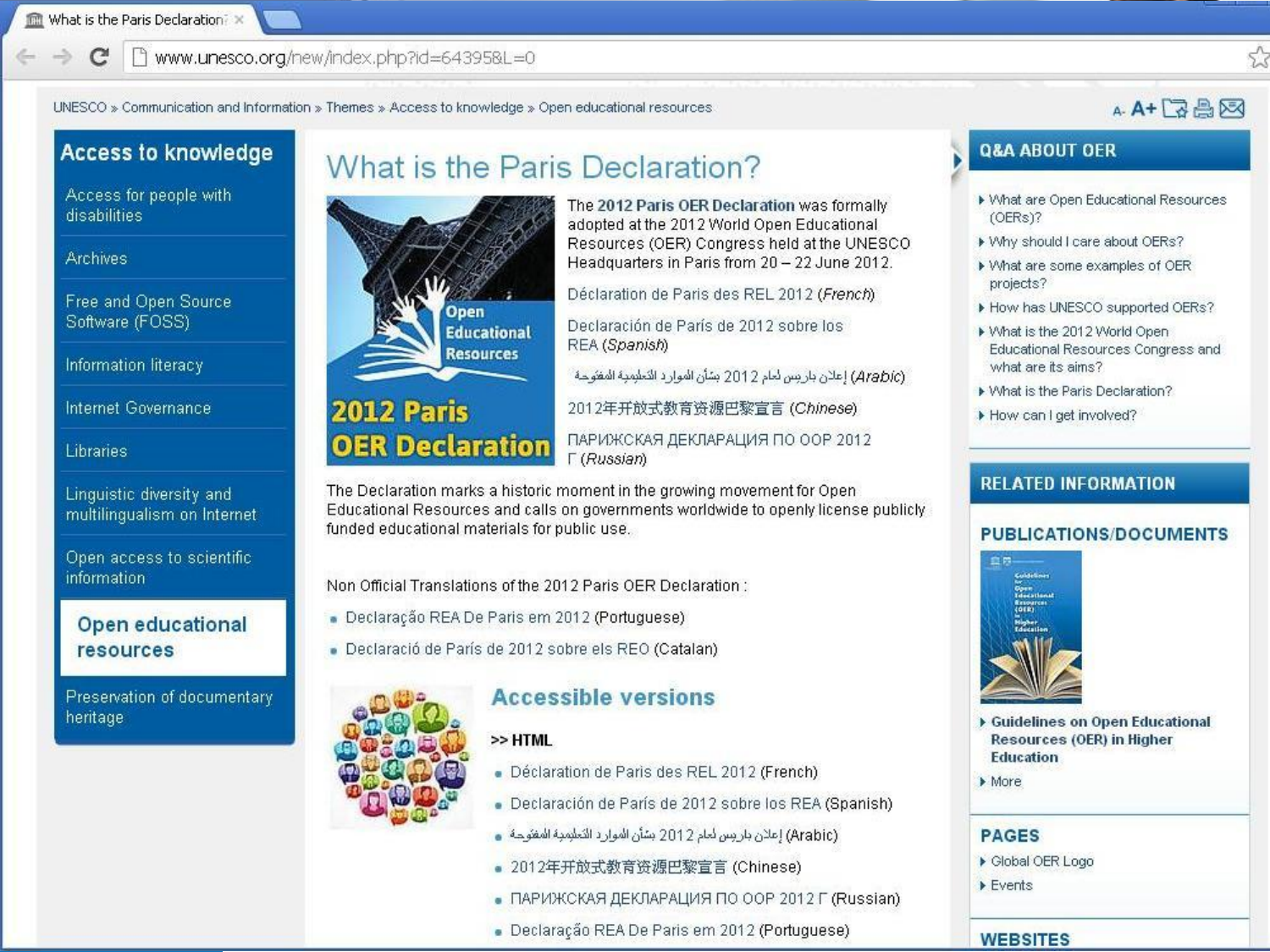#### 鬥 www.unesco.org/new/index.php?id=643958L=0  $\sim$

UNESCO » Communication and Information » Themes » Access to knowledge » Open educational resources

### A-A+BA网

#### **Access to knowledge**

Access for people with disabilities

#### **Archives**

Free and Open Source Software (FOSS)

Information literacy

Internet Governance

#### Libraries

Linguistic diversity and multilingualism on Internet

Open access to scientific *information* 

#### Open educational **resources**

Preservation of documentary heritage

### What is the Paris Declaration?



The 2012 Paris OER Declaration was formally adopted at the 2012 World Open Educational Resources (OER) Congress held at the UNESCO Headquarters in Paris from 20 - 22 June 2012.

Déclaration de Paris des REL 2012 (French)

Declaración de París de 2012 sobre los REA (Spanish)

(Arabic) إعلان باريس لعام 2012 بشأن الموارد التعليمية المفتوحة

2012年开放式教育资源巴黎宣言 (Chinese)

ПАРИЖСКАЯ ДЕКЛАРАЦИЯ ПО ООР 2012 **F** (Russian)

The Declaration marks a historic moment in the growing movement for Open Educational Resources and calls on governments worldwide to openly license publicly funded educational materials for public use.

Non Official Translations of the 2012 Paris OER Declaration:

- · Declaração REA De Paris em 2012 (Portuguese)
- Declaració de París de 2012 sobre els REO (Catalan)

#### **Accessible versions**

#### $>> HTML$

- Déclaration de Paris des REL 2012 (French)
- Declaración de París de 2012 sobre los REA (Spanish)
- (Arabic) إعلان باريس لعام 2012 بشأن الموارد التعليمية المفتوحة .
- 2012年开放式教育资源巴黎宣言 (Chinese)
- ПАРИЖСКАЯ ДЕКЛАРАЦИЯ ПО ООР 2012 Г (Russian)
- · Declaração REA De Paris em 2012 (Portuguese)

#### **Q&A ABOUT OER**

- ▶ What are Open Educational Resources (OERs)?
- ▶ Why should I care about OERs?
- ▶ What are some examples of OER projects?
- How has UNESCO supported OERs?
- ▶ What is the 2012 World Open Educational Resources Congress and what are its aims?
- Mhat is the Paris Declaration?
- How can I get involved?

#### **RELATED INFORMATION**

#### **PUBLICATIONS/DOCUMENTS**



- Guidelines on Open Educational Resources (OER) in Higher **Education**
- $More$

#### **PAGES**

- ▶ Global OER Logo
- $\triangleright$  Events

#### **WEBSITES**

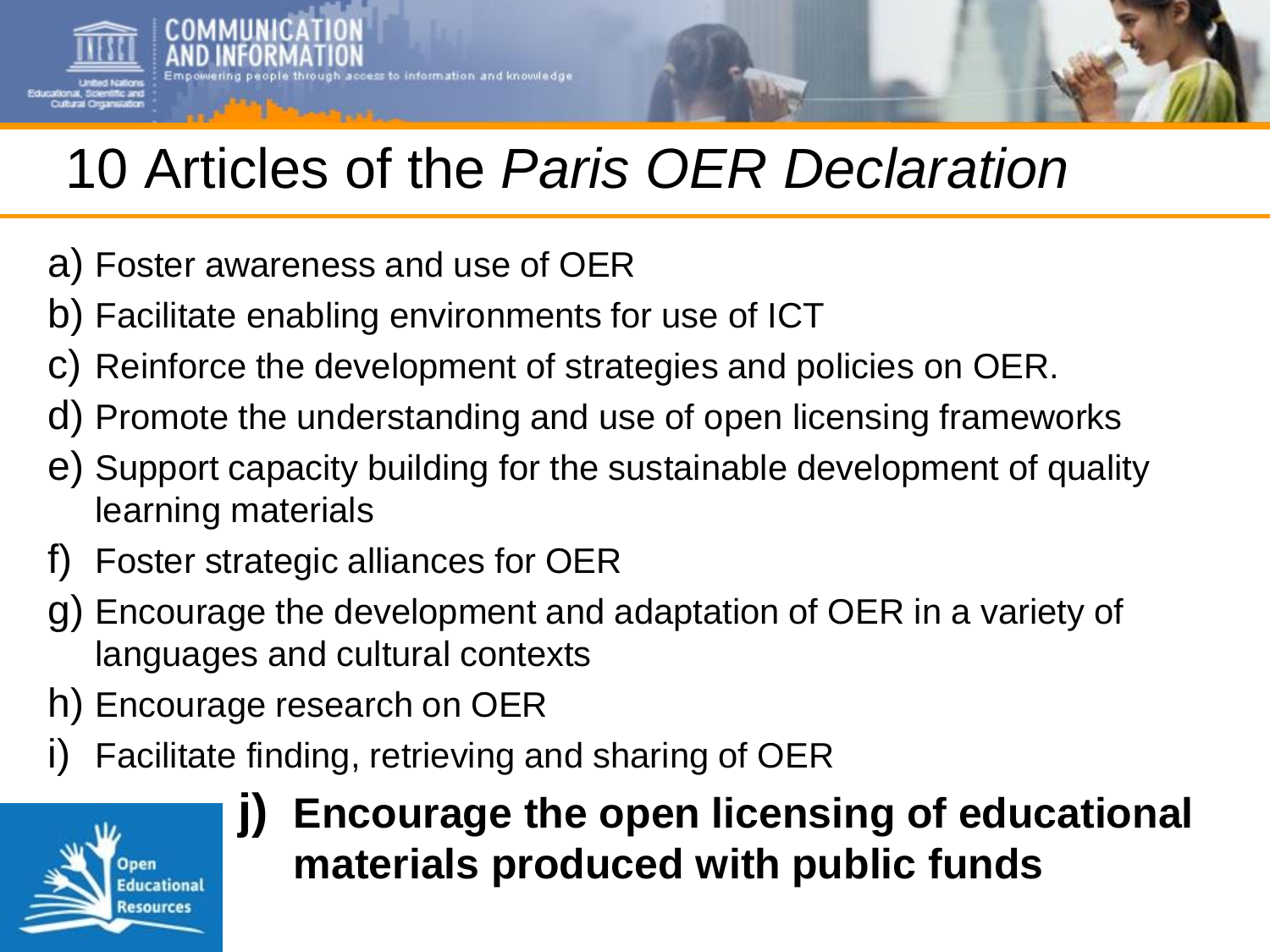# 10 Articles of the *Paris OER Declaration*

- a) Foster awareness and use of OER
- b) Facilitate enabling environments for use of ICT

cess to information and knowledge

- c) Reinforce the development of strategies and policies on OER.
- d) Promote the understanding and use of open licensing frameworks
- e) Support capacity building for the sustainable development of quality learning materials
- f) Foster strategic alliances for OER
- g) Encourage the development and adaptation of OER in a variety of languages and cultural contexts
- h) Encourage research on OER
- Facilitate finding, retrieving and sharing of OER



## **j) Encourage the open licensing of educational materials produced with public funds**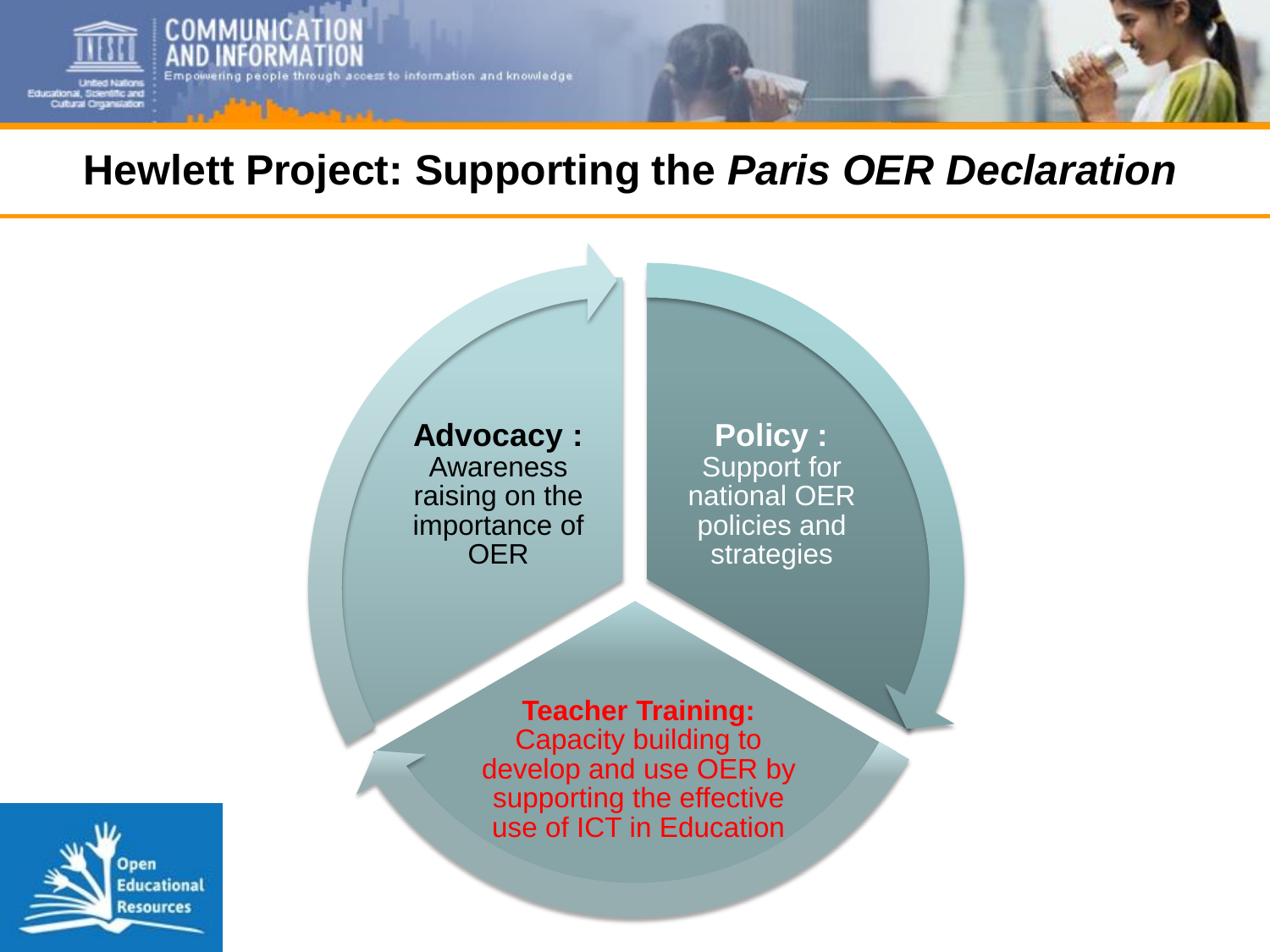

## **Hewlett Project: Supporting the** *Paris OER Declaration*

**Advocacy :** Awareness raising on the importance of OER

**Policy :** Support for national OER policies and strategies

**Teacher Training:** Capacity building to develop and use OER by supporting the effective use of ICT in Education

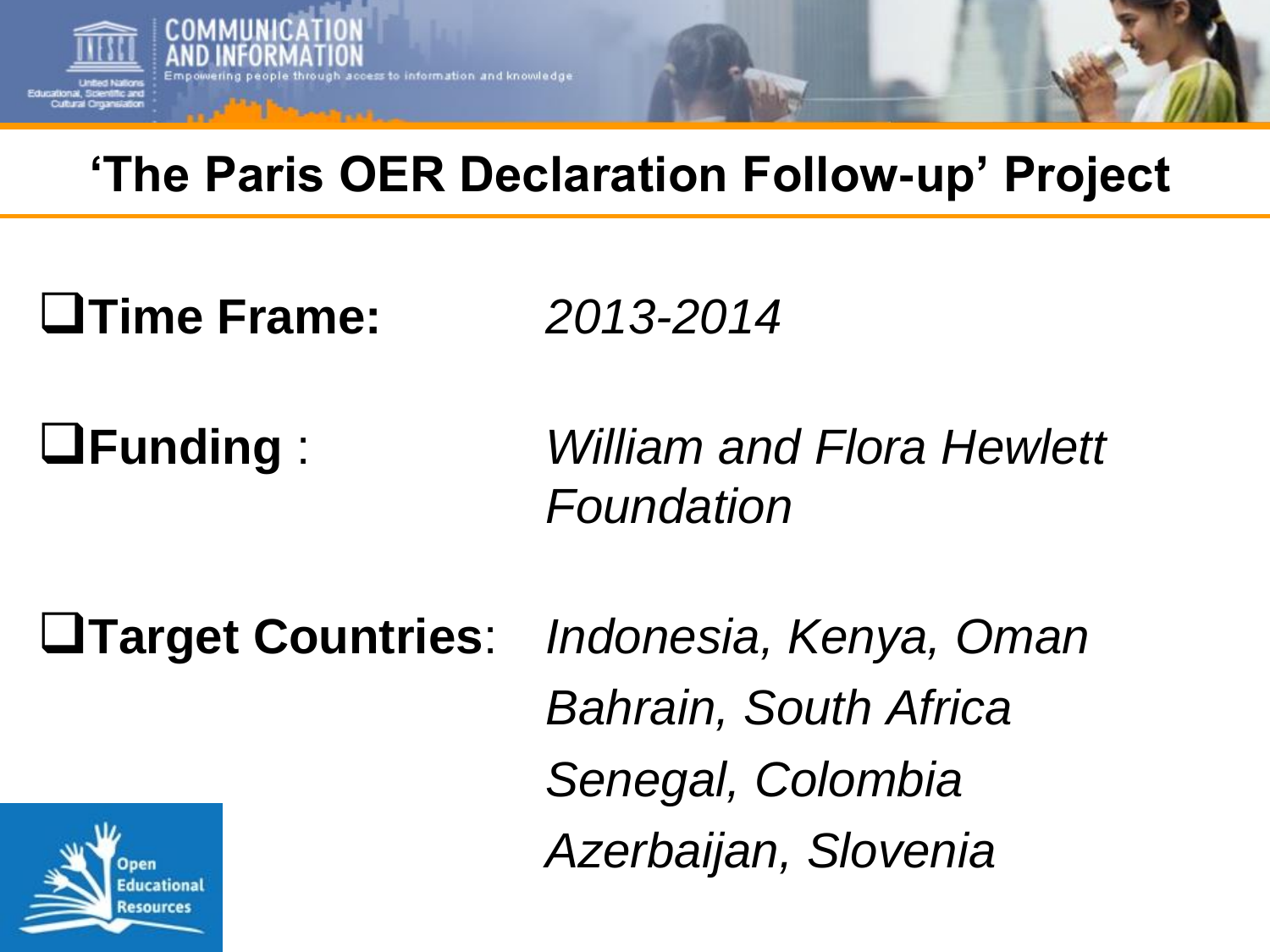

## **'The Paris OER Declaration Follow-up' Project**

**Time Frame:** *2013-2014*

**Educational** Resources

**Funding** : *William and Flora Hewlett Foundation*

**Target Countries**: *Indonesia, Kenya, Oman Bahrain, South Africa Senegal, Colombia Azerbaijan, Slovenia*nen